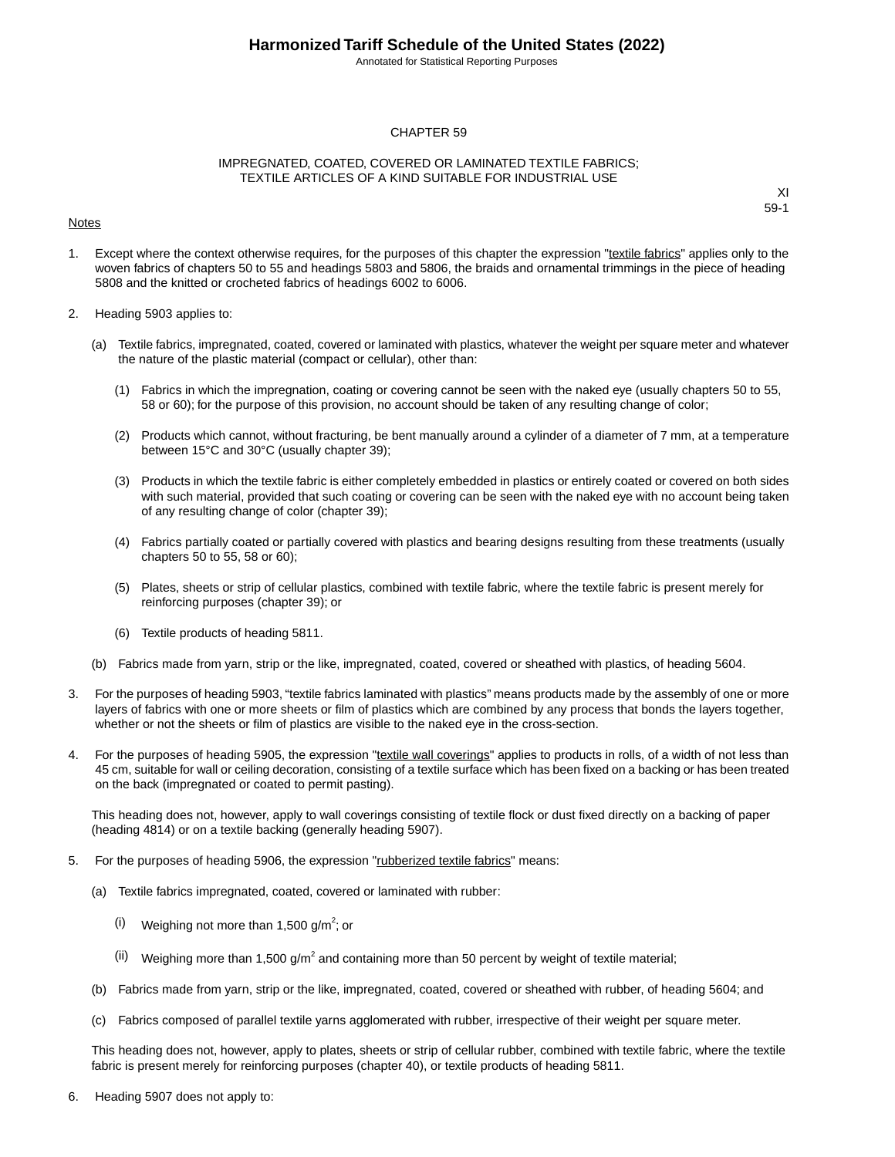Annotated for Statistical Reporting Purposes

#### CHAPTER 59

#### IMPREGNATED, COATED, COVERED OR LAMINATED TEXTILE FABRICS; TEXTILE ARTICLES OF A KIND SUITABLE FOR INDUSTRIAL USE

#### Notes

XI 59-1

- 1. Except where the context otherwise requires, for the purposes of this chapter the expression "textile fabrics" applies only to the woven fabrics of chapters 50 to 55 and headings 5803 and 5806, the braids and ornamental trimmings in the piece of heading 5808 and the knitted or crocheted fabrics of headings 6002 to 6006.
- 2. Heading 5903 applies to:
	- (a) Textile fabrics, impregnated, coated, covered or laminated with plastics, whatever the weight per square meter and whatever the nature of the plastic material (compact or cellular), other than:
		- (1) Fabrics in which the impregnation, coating or covering cannot be seen with the naked eye (usually chapters 50 to 55, 58 or 60); for the purpose of this provision, no account should be taken of any resulting change of color;
		- (2) Products which cannot, without fracturing, be bent manually around a cylinder of a diameter of 7 mm, at a temperature between 15°C and 30°C (usually chapter 39);
		- (3) Products in which the textile fabric is either completely embedded in plastics or entirely coated or covered on both sides with such material, provided that such coating or covering can be seen with the naked eye with no account being taken of any resulting change of color (chapter 39);
		- (4) Fabrics partially coated or partially covered with plastics and bearing designs resulting from these treatments (usually chapters 50 to 55, 58 or 60);
		- (5) Plates, sheets or strip of cellular plastics, combined with textile fabric, where the textile fabric is present merely for reinforcing purposes (chapter 39); or
		- (6) Textile products of heading 5811.
	- (b) Fabrics made from yarn, strip or the like, impregnated, coated, covered or sheathed with plastics, of heading 5604.
- 3. For the purposes of heading 5903, "textile fabrics laminated with plastics" means products made by the assembly of one or more layers of fabrics with one or more sheets or film of plastics which are combined by any process that bonds the layers together, whether or not the sheets or film of plastics are visible to the naked eye in the cross-section.
- 4. For the purposes of heading 5905, the expression "textile wall coverings" applies to products in rolls, of a width of not less than 45 cm, suitable for wall or ceiling decoration, consisting of a textile surface which has been fixed on a backing or has been treated on the back (impregnated or coated to permit pasting).

This heading does not, however, apply to wall coverings consisting of textile flock or dust fixed directly on a backing of paper (heading 4814) or on a textile backing (generally heading 5907).

- 5. For the purposes of heading 5906, the expression "rubberized textile fabrics" means:
	- (a) Textile fabrics impregnated, coated, covered or laminated with rubber:
		- $(i)$  Weighing not more than 1,500 g/m<sup>2</sup>; or
		- (ii) Weighing more than 1,500 g/m<sup>2</sup> and containing more than 50 percent by weight of textile material;
	- (b) Fabrics made from yarn, strip or the like, impregnated, coated, covered or sheathed with rubber, of heading 5604; and
	- (c) Fabrics composed of parallel textile yarns agglomerated with rubber, irrespective of their weight per square meter.

This heading does not, however, apply to plates, sheets or strip of cellular rubber, combined with textile fabric, where the textile fabric is present merely for reinforcing purposes (chapter 40), or textile products of heading 5811.

6. Heading 5907 does not apply to: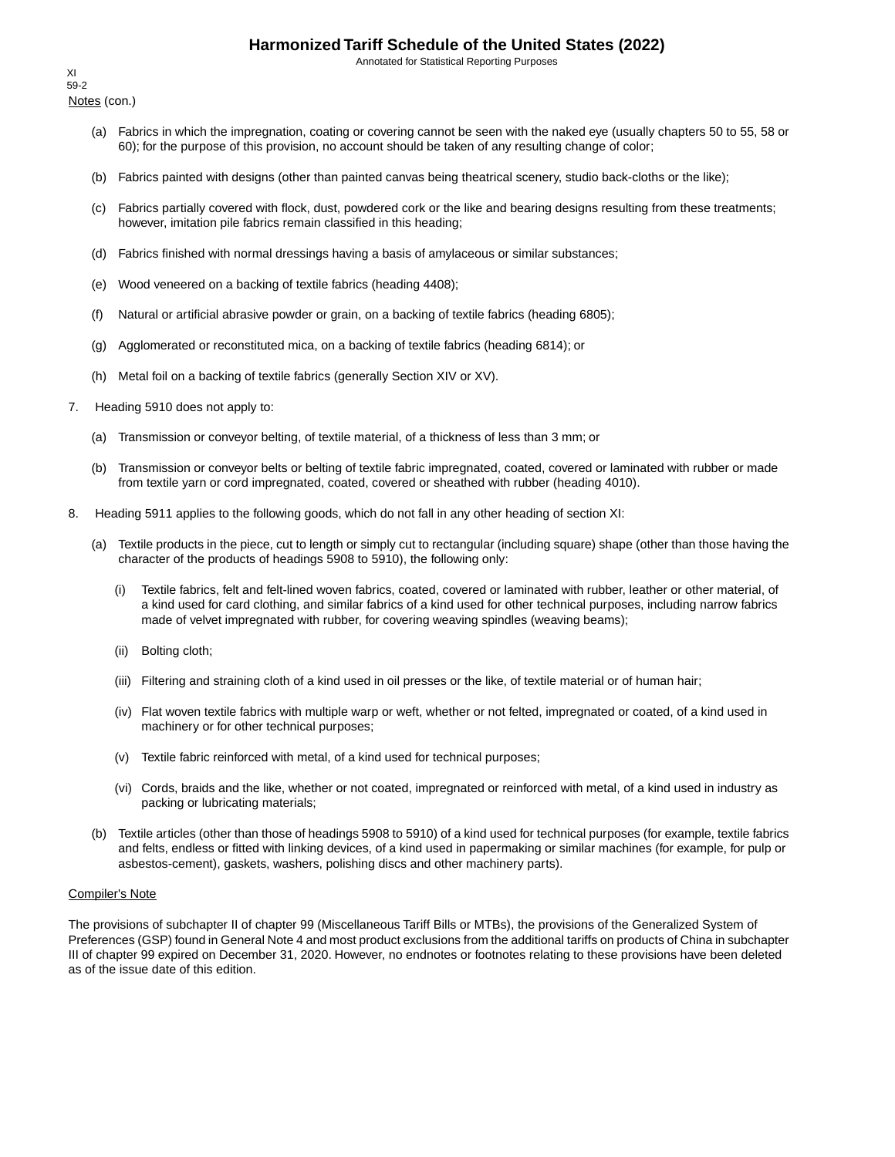Annotated for Statistical Reporting Purposes

Notes (con.) XI 59-2

- (a) Fabrics in which the impregnation, coating or covering cannot be seen with the naked eye (usually chapters 50 to 55, 58 or 60); for the purpose of this provision, no account should be taken of any resulting change of color;
- (b) Fabrics painted with designs (other than painted canvas being theatrical scenery, studio back-cloths or the like);
- (c) Fabrics partially covered with flock, dust, powdered cork or the like and bearing designs resulting from these treatments; however, imitation pile fabrics remain classified in this heading;
- (d) Fabrics finished with normal dressings having a basis of amylaceous or similar substances;
- (e) Wood veneered on a backing of textile fabrics (heading 4408);
- (f) Natural or artificial abrasive powder or grain, on a backing of textile fabrics (heading 6805);
- (g) Agglomerated or reconstituted mica, on a backing of textile fabrics (heading 6814); or
- (h) Metal foil on a backing of textile fabrics (generally Section XIV or XV).
- 7. Heading 5910 does not apply to:
	- (a) Transmission or conveyor belting, of textile material, of a thickness of less than 3 mm; or
	- (b) Transmission or conveyor belts or belting of textile fabric impregnated, coated, covered or laminated with rubber or made from textile yarn or cord impregnated, coated, covered or sheathed with rubber (heading 4010).
- 8. Heading 5911 applies to the following goods, which do not fall in any other heading of section XI:
	- (a) Textile products in the piece, cut to length or simply cut to rectangular (including square) shape (other than those having the character of the products of headings 5908 to 5910), the following only:
		- (i) Textile fabrics, felt and felt-lined woven fabrics, coated, covered or laminated with rubber, leather or other material, of a kind used for card clothing, and similar fabrics of a kind used for other technical purposes, including narrow fabrics made of velvet impregnated with rubber, for covering weaving spindles (weaving beams);
		- (ii) Bolting cloth;
		- (iii) Filtering and straining cloth of a kind used in oil presses or the like, of textile material or of human hair;
		- (iv) Flat woven textile fabrics with multiple warp or weft, whether or not felted, impregnated or coated, of a kind used in machinery or for other technical purposes;
		- (v) Textile fabric reinforced with metal, of a kind used for technical purposes;
		- (vi) Cords, braids and the like, whether or not coated, impregnated or reinforced with metal, of a kind used in industry as packing or lubricating materials;
	- (b) Textile articles (other than those of headings 5908 to 5910) of a kind used for technical purposes (for example, textile fabrics and felts, endless or fitted with linking devices, of a kind used in papermaking or similar machines (for example, for pulp or asbestos-cement), gaskets, washers, polishing discs and other machinery parts).

#### Compiler's Note

The provisions of subchapter II of chapter 99 (Miscellaneous Tariff Bills or MTBs), the provisions of the Generalized System of Preferences (GSP) found in General Note 4 and most product exclusions from the additional tariffs on products of China in subchapter III of chapter 99 expired on December 31, 2020. However, no endnotes or footnotes relating to these provisions have been deleted as of the issue date of this edition.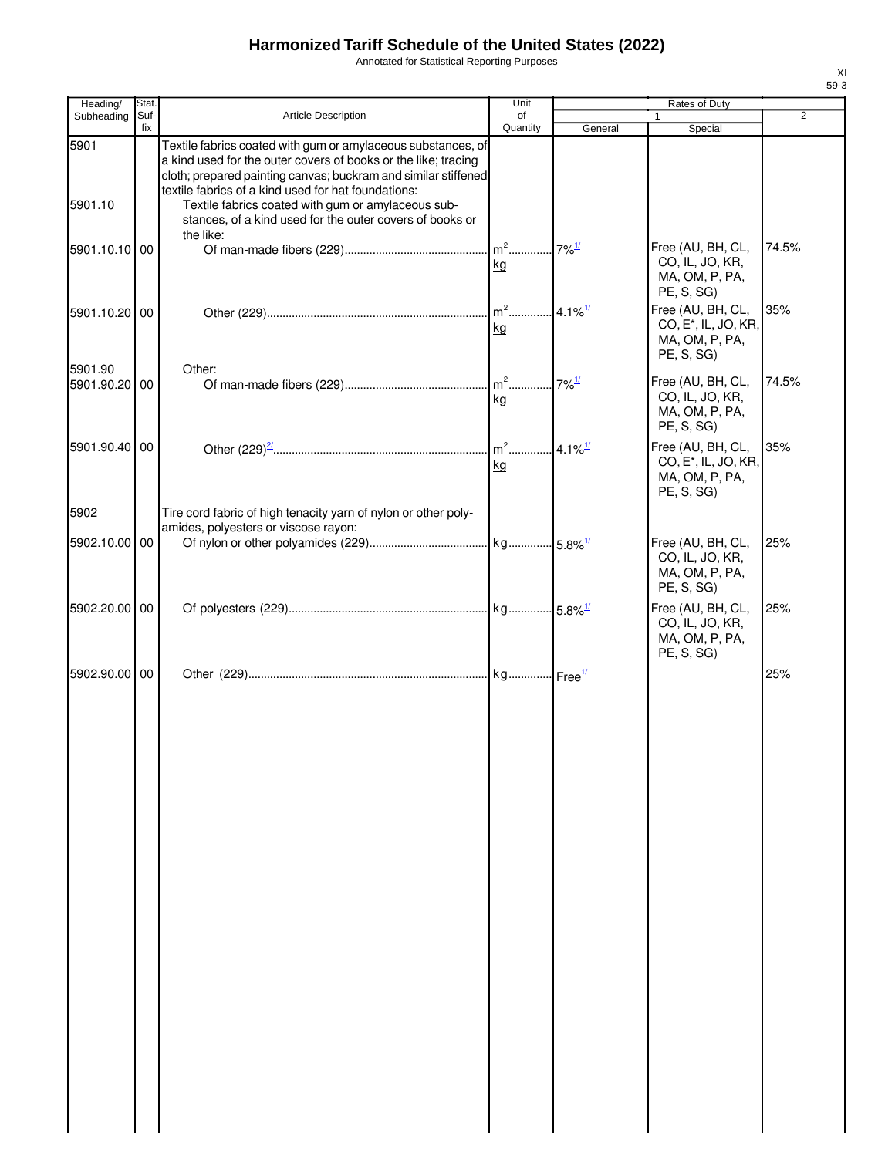Annotated for Statistical Reporting Purposes

| fix<br>Quantity<br>General<br>Special<br>5901<br>Textile fabrics coated with gum or amylaceous substances, of<br>a kind used for the outer covers of books or the like; tracing<br>cloth; prepared painting canvas; buckram and similar stiffened<br>textile fabrics of a kind used for hat foundations:<br>5901.10<br>Textile fabrics coated with gum or amylaceous sub-<br>stances, of a kind used for the outer covers of books or<br>the like:<br>Free (AU, BH, CL,<br>74.5%<br>$7\%$ <sup>1/</sup><br>5901.10.10 00<br>CO, IL, JO, KR,<br>kg<br>MA, OM, P, PA,<br>PE, S, SG)<br>$m2$<br>Free (AU, BH, CL,<br>35%<br>$4.1\%$ <sup>1/</sup><br>5901.10.20 00<br>CO, E <sup>*</sup> , IL, JO, KR,<br>kg<br>MA, OM, P, PA,<br>PE, S, SG)<br>5901.90<br>Other:<br>$.7\%$ <sup>1/</sup><br>Free (AU, BH, CL,<br>74.5%<br>5901.90.20 00<br>CO, IL, JO, KR,<br>kg<br>MA, OM, P, PA,<br>PE, S, SG)<br>$m2$<br>$4.1\%$ <sup>1/</sup><br>Free (AU, BH, CL,<br>35%<br>5901.90.40 00<br>CO, E <sup>*</sup> , IL, JO, KR,<br>kg<br>MA, OM, P, PA,<br>PE, S, SG)<br>5902<br>Tire cord fabric of high tenacity yarn of nylon or other poly-<br>amides, polyesters or viscose rayon:<br>5902.10.00 00<br>Free (AU, BH, CL,<br>25%<br>CO, IL, JO, KR,<br>MA, OM, P, PA,<br>PE, S, SG)<br>5902.20.00 00<br>Free (AU, BH, CL,<br>25%<br>CO, IL, JO, KR,<br>MA, OM, P, PA,<br>PE, S, SG)<br>5902.90.00 00<br>25% | Heading/   | Stat. |                            | Unit | Rates of Duty |   |
|--------------------------------------------------------------------------------------------------------------------------------------------------------------------------------------------------------------------------------------------------------------------------------------------------------------------------------------------------------------------------------------------------------------------------------------------------------------------------------------------------------------------------------------------------------------------------------------------------------------------------------------------------------------------------------------------------------------------------------------------------------------------------------------------------------------------------------------------------------------------------------------------------------------------------------------------------------------------------------------------------------------------------------------------------------------------------------------------------------------------------------------------------------------------------------------------------------------------------------------------------------------------------------------------------------------------------------------------------------------------------------------------------|------------|-------|----------------------------|------|---------------|---|
|                                                                                                                                                                                                                                                                                                                                                                                                                                                                                                                                                                                                                                                                                                                                                                                                                                                                                                                                                                                                                                                                                                                                                                                                                                                                                                                                                                                                  | Subheading | Suf-  | <b>Article Description</b> | of   |               | 2 |
|                                                                                                                                                                                                                                                                                                                                                                                                                                                                                                                                                                                                                                                                                                                                                                                                                                                                                                                                                                                                                                                                                                                                                                                                                                                                                                                                                                                                  |            |       |                            |      |               |   |
|                                                                                                                                                                                                                                                                                                                                                                                                                                                                                                                                                                                                                                                                                                                                                                                                                                                                                                                                                                                                                                                                                                                                                                                                                                                                                                                                                                                                  |            |       |                            |      |               |   |
|                                                                                                                                                                                                                                                                                                                                                                                                                                                                                                                                                                                                                                                                                                                                                                                                                                                                                                                                                                                                                                                                                                                                                                                                                                                                                                                                                                                                  |            |       |                            |      |               |   |
|                                                                                                                                                                                                                                                                                                                                                                                                                                                                                                                                                                                                                                                                                                                                                                                                                                                                                                                                                                                                                                                                                                                                                                                                                                                                                                                                                                                                  |            |       |                            |      |               |   |
|                                                                                                                                                                                                                                                                                                                                                                                                                                                                                                                                                                                                                                                                                                                                                                                                                                                                                                                                                                                                                                                                                                                                                                                                                                                                                                                                                                                                  |            |       |                            |      |               |   |
|                                                                                                                                                                                                                                                                                                                                                                                                                                                                                                                                                                                                                                                                                                                                                                                                                                                                                                                                                                                                                                                                                                                                                                                                                                                                                                                                                                                                  |            |       |                            |      |               |   |
|                                                                                                                                                                                                                                                                                                                                                                                                                                                                                                                                                                                                                                                                                                                                                                                                                                                                                                                                                                                                                                                                                                                                                                                                                                                                                                                                                                                                  |            |       |                            |      |               |   |
|                                                                                                                                                                                                                                                                                                                                                                                                                                                                                                                                                                                                                                                                                                                                                                                                                                                                                                                                                                                                                                                                                                                                                                                                                                                                                                                                                                                                  |            |       |                            |      |               |   |
|                                                                                                                                                                                                                                                                                                                                                                                                                                                                                                                                                                                                                                                                                                                                                                                                                                                                                                                                                                                                                                                                                                                                                                                                                                                                                                                                                                                                  |            |       |                            |      |               |   |
|                                                                                                                                                                                                                                                                                                                                                                                                                                                                                                                                                                                                                                                                                                                                                                                                                                                                                                                                                                                                                                                                                                                                                                                                                                                                                                                                                                                                  |            |       |                            |      |               |   |
|                                                                                                                                                                                                                                                                                                                                                                                                                                                                                                                                                                                                                                                                                                                                                                                                                                                                                                                                                                                                                                                                                                                                                                                                                                                                                                                                                                                                  |            |       |                            |      |               |   |
|                                                                                                                                                                                                                                                                                                                                                                                                                                                                                                                                                                                                                                                                                                                                                                                                                                                                                                                                                                                                                                                                                                                                                                                                                                                                                                                                                                                                  |            |       |                            |      |               |   |
|                                                                                                                                                                                                                                                                                                                                                                                                                                                                                                                                                                                                                                                                                                                                                                                                                                                                                                                                                                                                                                                                                                                                                                                                                                                                                                                                                                                                  |            |       |                            |      |               |   |
|                                                                                                                                                                                                                                                                                                                                                                                                                                                                                                                                                                                                                                                                                                                                                                                                                                                                                                                                                                                                                                                                                                                                                                                                                                                                                                                                                                                                  |            |       |                            |      |               |   |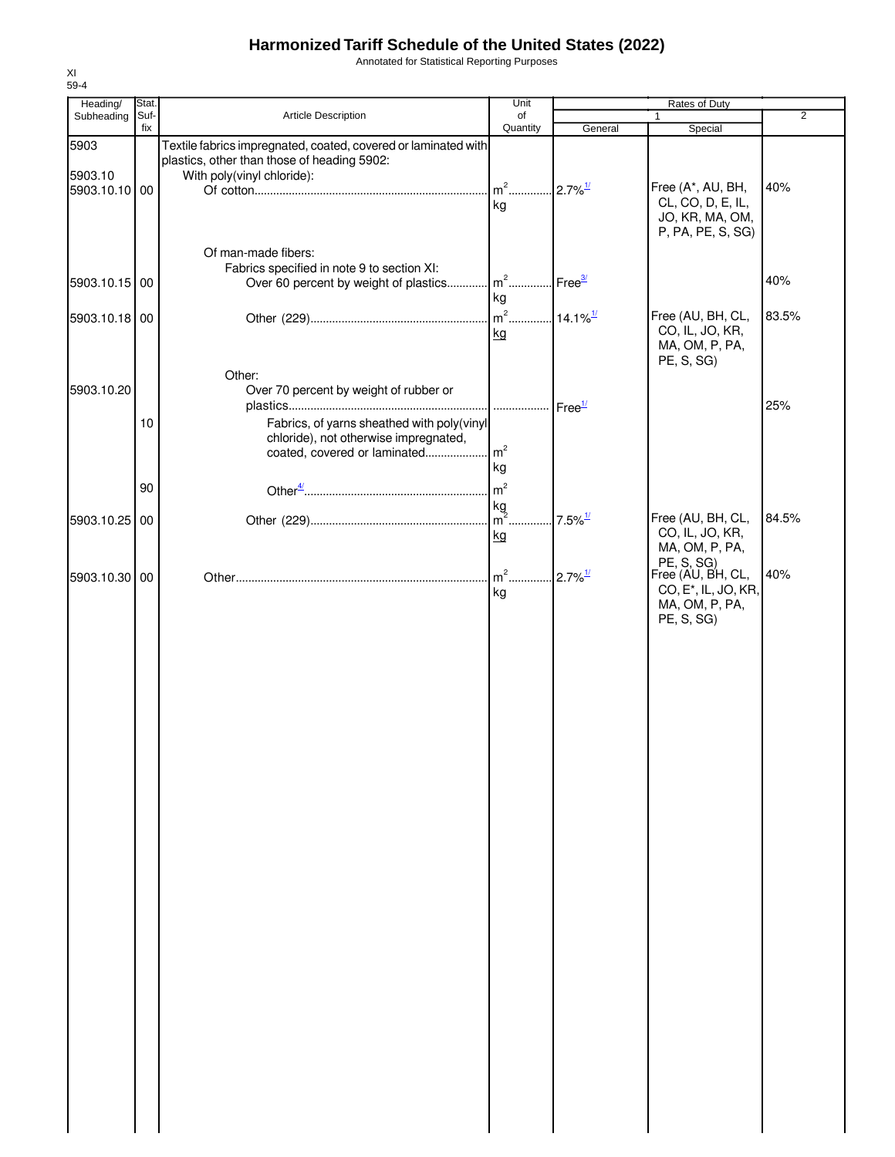Annotated for Statistical Reporting Purposes

| Heading/                 | Stat. |                                                                                                               | Unit           |                        | Rates of Duty                    |                |
|--------------------------|-------|---------------------------------------------------------------------------------------------------------------|----------------|------------------------|----------------------------------|----------------|
| Subheading               | Suf-  | Article Description                                                                                           | of             |                        | $\mathbf{1}$                     | $\overline{2}$ |
|                          | fix   |                                                                                                               | Quantity       | General                | Special                          |                |
| 5903                     |       | Textile fabrics impregnated, coated, covered or laminated with<br>plastics, other than those of heading 5902: |                |                        |                                  |                |
| 5903.10<br>5903.10.10 00 |       | With poly(vinyl chloride):                                                                                    | $m^2$          | $2.7\%$ <sup>1/</sup>  | Free (A*, AU, BH,                | 40%            |
|                          |       |                                                                                                               | kg             |                        | CL, CO, D, E, IL,                |                |
|                          |       |                                                                                                               |                |                        | JO, KR, MA, OM,                  |                |
|                          |       |                                                                                                               |                |                        | P, PA, PE, S, SG)                |                |
|                          |       | Of man-made fibers:                                                                                           |                |                        |                                  |                |
|                          |       | Fabrics specified in note 9 to section XI:                                                                    |                |                        |                                  |                |
| 5903.10.15 00            |       | Over 60 percent by weight of plastics m <sup>2</sup> Free <sup>3/</sup>                                       |                |                        |                                  | 40%            |
|                          |       |                                                                                                               | kg             |                        |                                  |                |
|                          |       |                                                                                                               | $m^2$          |                        | Free (AU, BH, CL,                | 83.5%          |
| 5903.10.18 00            |       |                                                                                                               |                | $14.1\%$ <sup>1/</sup> | CO, IL, JO, KR,                  |                |
|                          |       |                                                                                                               | kg             |                        | MA, OM, P, PA,                   |                |
|                          |       |                                                                                                               |                |                        | PE, S, SG)                       |                |
|                          |       | Other:                                                                                                        |                |                        |                                  |                |
| 5903.10.20               |       | Over 70 percent by weight of rubber or                                                                        |                |                        |                                  |                |
|                          |       |                                                                                                               |                | Free <sup>1/</sup>     |                                  | 25%            |
|                          | $10$  | Fabrics, of yarns sheathed with poly(vinyl                                                                    |                |                        |                                  |                |
|                          |       | chloride), not otherwise impregnated,                                                                         |                |                        |                                  |                |
|                          |       | coated, covered or laminated                                                                                  | m <sup>2</sup> |                        |                                  |                |
|                          |       |                                                                                                               | kg             |                        |                                  |                |
|                          | 90    |                                                                                                               | m <sup>2</sup> |                        |                                  |                |
|                          |       |                                                                                                               | kg             |                        |                                  |                |
| 5903.10.25 00            |       |                                                                                                               | $m2$ .         | $7.5\%$ <sup>1/</sup>  | Free (AU, BH, CL,                | 84.5%          |
|                          |       |                                                                                                               | kg             |                        | CO, IL, JO, KR,                  |                |
|                          |       |                                                                                                               |                |                        | MA, OM, P, PA,                   |                |
|                          |       |                                                                                                               | $m2$ .         |                        | PE, S, SG)<br>Free (AU, BH, CL,  | 40%            |
| 5903.10.30 00            |       |                                                                                                               |                | $2.7\%$ <sup>1/</sup>  | CO, E <sup>*</sup> , IL, JO, KR, |                |
|                          |       |                                                                                                               | kg             |                        | MA, OM, P, PA,                   |                |
|                          |       |                                                                                                               |                |                        | PE, S, SG)                       |                |
|                          |       |                                                                                                               |                |                        |                                  |                |
|                          |       |                                                                                                               |                |                        |                                  |                |
|                          |       |                                                                                                               |                |                        |                                  |                |
|                          |       |                                                                                                               |                |                        |                                  |                |
|                          |       |                                                                                                               |                |                        |                                  |                |
|                          |       |                                                                                                               |                |                        |                                  |                |
|                          |       |                                                                                                               |                |                        |                                  |                |
|                          |       |                                                                                                               |                |                        |                                  |                |
|                          |       |                                                                                                               |                |                        |                                  |                |
|                          |       |                                                                                                               |                |                        |                                  |                |
|                          |       |                                                                                                               |                |                        |                                  |                |
|                          |       |                                                                                                               |                |                        |                                  |                |
|                          |       |                                                                                                               |                |                        |                                  |                |
|                          |       |                                                                                                               |                |                        |                                  |                |
|                          |       |                                                                                                               |                |                        |                                  |                |
|                          |       |                                                                                                               |                |                        |                                  |                |
|                          |       |                                                                                                               |                |                        |                                  |                |
|                          |       |                                                                                                               |                |                        |                                  |                |
|                          |       |                                                                                                               |                |                        |                                  |                |
|                          |       |                                                                                                               |                |                        |                                  |                |
|                          |       |                                                                                                               |                |                        |                                  |                |
|                          |       |                                                                                                               |                |                        |                                  |                |
|                          |       |                                                                                                               |                |                        |                                  |                |
|                          |       |                                                                                                               |                |                        |                                  |                |
|                          |       |                                                                                                               |                |                        |                                  |                |
|                          |       |                                                                                                               |                |                        |                                  |                |
|                          |       |                                                                                                               |                |                        |                                  |                |
|                          |       |                                                                                                               |                |                        |                                  |                |
|                          |       |                                                                                                               |                |                        |                                  |                |
|                          |       |                                                                                                               |                |                        |                                  |                |
|                          |       |                                                                                                               |                |                        |                                  |                |
|                          |       |                                                                                                               |                |                        |                                  |                |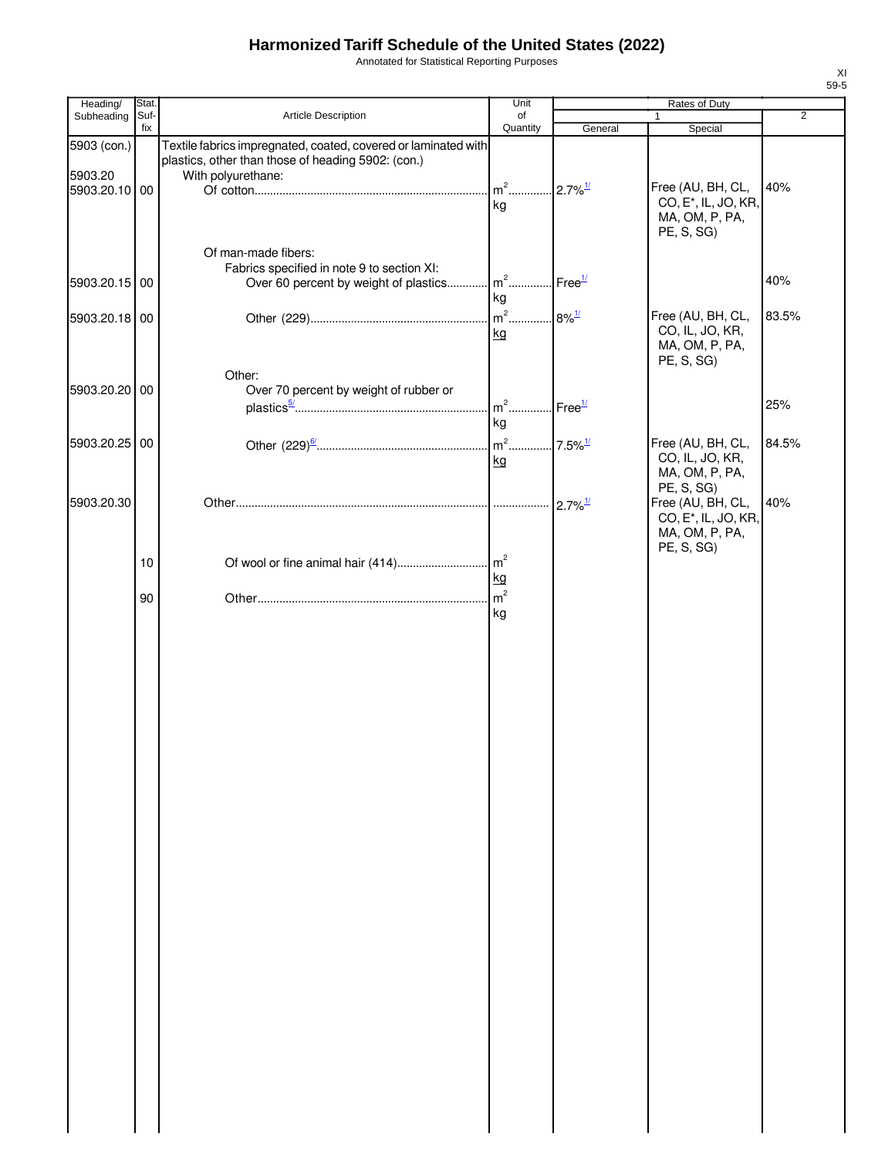Annotated for Statistical Reporting Purposes

| Heading/                                | Stat.       |                                                                                                                                              | Unit                                    |         | Rates of Duty                                                                         |                |
|-----------------------------------------|-------------|----------------------------------------------------------------------------------------------------------------------------------------------|-----------------------------------------|---------|---------------------------------------------------------------------------------------|----------------|
| Subheading                              | Suf-<br>fix | Article Description                                                                                                                          | of<br>Quantity                          | General | 1<br>Special                                                                          | $\overline{2}$ |
| 5903 (con.)<br>5903.20<br>5903.20.10 00 |             | Textile fabrics impregnated, coated, covered or laminated with<br>plastics, other than those of heading 5902: (con.)<br>With polyurethane:   | ka                                      |         | Free (AU, BH, CL,<br>CO, E <sup>*</sup> , IL, JO, KR,<br>MA, OM, P, PA,<br>PE, S, SG) | 40%            |
| 5903.20.15 00                           |             | Of man-made fibers:<br>Fabrics specified in note 9 to section XI:<br>Over 60 percent by weight of plastics m <sup>2</sup> Free <sup>1/</sup> | kg                                      |         |                                                                                       | 40%            |
| 5903.20.18 00                           |             |                                                                                                                                              | kg                                      |         | Free (AU, BH, CL,<br>CO, IL, JO, KR,<br>MA, OM, P, PA,<br>PE, S, SG)                  | 83.5%          |
| 5903.20.20 00                           |             | Other:<br>Over 70 percent by weight of rubber or                                                                                             | m <sup>2</sup> Free <sup>1/</sup><br>kg |         |                                                                                       | 25%            |
| 5903.20.25 00                           |             |                                                                                                                                              | kg                                      |         | Free (AU, BH, CL,<br>CO, IL, JO, KR,<br>MA, OM, P, PA,<br>PE, S, SG)                  | 84.5%          |
| 5903.20.30                              |             |                                                                                                                                              |                                         |         | Free (AU, BH, CL,<br>CO, E <sup>*</sup> , IL, JO, KR,<br>MA, OM, P, PA,<br>PE, S, SG) | 40%            |
|                                         | 10          |                                                                                                                                              | kg                                      |         |                                                                                       |                |
|                                         | 90          |                                                                                                                                              | kg                                      |         |                                                                                       |                |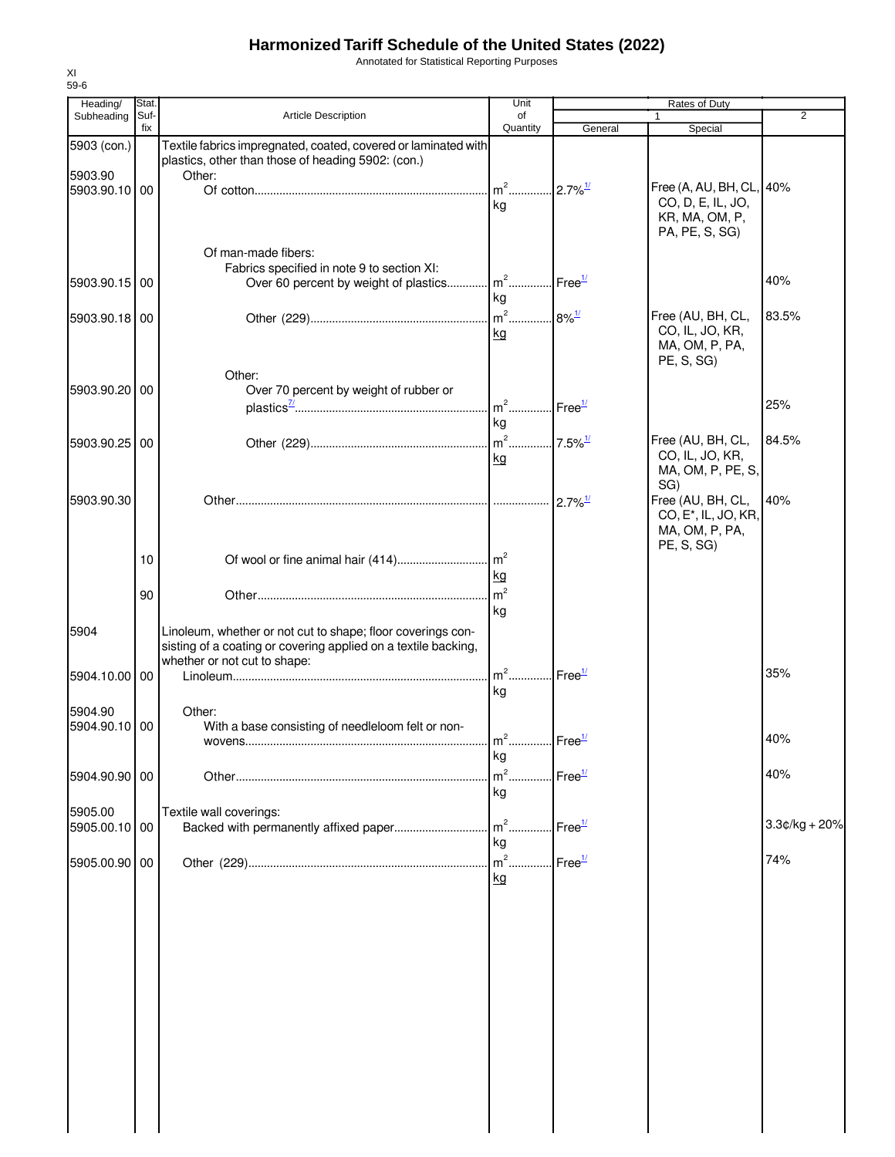Annotated for Statistical Reporting Purposes

| Heading/                 | Stat.       |                                                                         | Unit                   |                       | Rates of Duty                        |                 |
|--------------------------|-------------|-------------------------------------------------------------------------|------------------------|-----------------------|--------------------------------------|-----------------|
| Subheading               | Suf-<br>fix | <b>Article Description</b>                                              | of<br>Quantity         | General               | $\mathbf{1}$<br>Special              | $\overline{2}$  |
| 5903 (con.)              |             | Textile fabrics impregnated, coated, covered or laminated with          |                        |                       |                                      |                 |
|                          |             | plastics, other than those of heading 5902: (con.)                      |                        |                       |                                      |                 |
| 5903.90                  |             | Other:                                                                  |                        |                       |                                      |                 |
| 5903.90.10 00            |             |                                                                         |                        |                       | Free (A, AU, BH, CL, 40%             |                 |
|                          |             |                                                                         | ka                     |                       | CO, D, E, IL, JO,                    |                 |
|                          |             |                                                                         |                        |                       | KR, MA, OM, P,                       |                 |
|                          |             |                                                                         |                        |                       | PA, PE, S, SG)                       |                 |
|                          |             | Of man-made fibers:                                                     |                        |                       |                                      |                 |
|                          |             | Fabrics specified in note 9 to section XI:                              |                        |                       |                                      |                 |
| 5903.90.15 00            |             | Over 60 percent by weight of plastics m <sup>2</sup> Free <sup>1/</sup> |                        |                       |                                      | 40%             |
|                          |             |                                                                         | ka                     |                       |                                      |                 |
| 5903.90.18 00            |             |                                                                         | $m^2$ 8% $\frac{1}{2}$ |                       | Free (AU, BH, CL,                    | 83.5%           |
|                          |             |                                                                         | kg                     |                       | CO, IL, JO, KR,                      |                 |
|                          |             |                                                                         |                        |                       | MA, OM, P, PA,                       |                 |
|                          |             | Other:                                                                  |                        |                       | PE, S, SG)                           |                 |
| 5903.90.20 00            |             | Over 70 percent by weight of rubber or                                  |                        |                       |                                      |                 |
|                          |             |                                                                         |                        |                       |                                      | 25%             |
|                          |             |                                                                         | kg                     |                       |                                      |                 |
|                          |             |                                                                         |                        |                       |                                      |                 |
| 5903.90.25 00            |             |                                                                         |                        |                       | Free (AU, BH, CL,<br>CO, IL, JO, KR, | 84.5%           |
|                          |             |                                                                         | kg                     |                       | MA, OM, P, PE, S,                    |                 |
|                          |             |                                                                         |                        |                       | SG)                                  |                 |
| 5903.90.30               |             |                                                                         |                        | $2.7\%$ <sup>1/</sup> | Free (AU, BH, CL,                    | 40%             |
|                          |             |                                                                         |                        |                       | CO, E <sup>*</sup> , IL, JO, KR,     |                 |
|                          |             |                                                                         |                        |                       | MA, OM, P, PA,                       |                 |
|                          |             |                                                                         |                        |                       | PE, S, SG)                           |                 |
|                          | 10          |                                                                         |                        |                       |                                      |                 |
|                          |             |                                                                         | kg                     |                       |                                      |                 |
|                          | 90          |                                                                         | $\mathsf{m}^2$         |                       |                                      |                 |
|                          |             |                                                                         | kg                     |                       |                                      |                 |
| 5904                     |             | Linoleum, whether or not cut to shape; floor coverings con-             |                        |                       |                                      |                 |
|                          |             | sisting of a coating or covering applied on a textile backing,          |                        |                       |                                      |                 |
|                          |             | whether or not cut to shape:                                            |                        |                       |                                      |                 |
| 5904.10.00 00            |             |                                                                         | $m2$ .                 | Free <sup>1/</sup>    |                                      | 35%             |
|                          |             |                                                                         | kg                     |                       |                                      |                 |
| 5904.90                  |             | Other:                                                                  |                        |                       |                                      |                 |
| 5904.90.10 00            |             | With a base consisting of needleloom felt or non-                       |                        |                       |                                      |                 |
|                          |             |                                                                         | $m2$                   | $.$ Free $1/$         |                                      | 40%             |
|                          |             |                                                                         | kg                     |                       |                                      |                 |
| 5904.90.90 00            |             |                                                                         | m <sup>2</sup>         | Free <sup>1/</sup>    |                                      | 40%             |
|                          |             |                                                                         | kg                     |                       |                                      |                 |
|                          |             |                                                                         |                        |                       |                                      |                 |
| 5905.00<br>5905.00.10 00 |             | Textile wall coverings:                                                 |                        | Free <sup>1/</sup>    |                                      | $3.3¢/kg + 20%$ |
|                          |             |                                                                         | kg                     |                       |                                      |                 |
|                          |             |                                                                         |                        |                       |                                      | 74%             |
| 5905.00.90 00            |             |                                                                         | .                      | Free <sup>1/</sup>    |                                      |                 |
|                          |             |                                                                         | kg                     |                       |                                      |                 |
|                          |             |                                                                         |                        |                       |                                      |                 |
|                          |             |                                                                         |                        |                       |                                      |                 |
|                          |             |                                                                         |                        |                       |                                      |                 |
|                          |             |                                                                         |                        |                       |                                      |                 |
|                          |             |                                                                         |                        |                       |                                      |                 |
|                          |             |                                                                         |                        |                       |                                      |                 |
|                          |             |                                                                         |                        |                       |                                      |                 |
|                          |             |                                                                         |                        |                       |                                      |                 |
|                          |             |                                                                         |                        |                       |                                      |                 |
|                          |             |                                                                         |                        |                       |                                      |                 |
|                          |             |                                                                         |                        |                       |                                      |                 |
|                          |             |                                                                         |                        |                       |                                      |                 |
|                          |             |                                                                         |                        |                       |                                      |                 |
|                          |             |                                                                         |                        |                       |                                      |                 |
|                          |             |                                                                         |                        |                       |                                      |                 |
|                          |             |                                                                         |                        |                       |                                      |                 |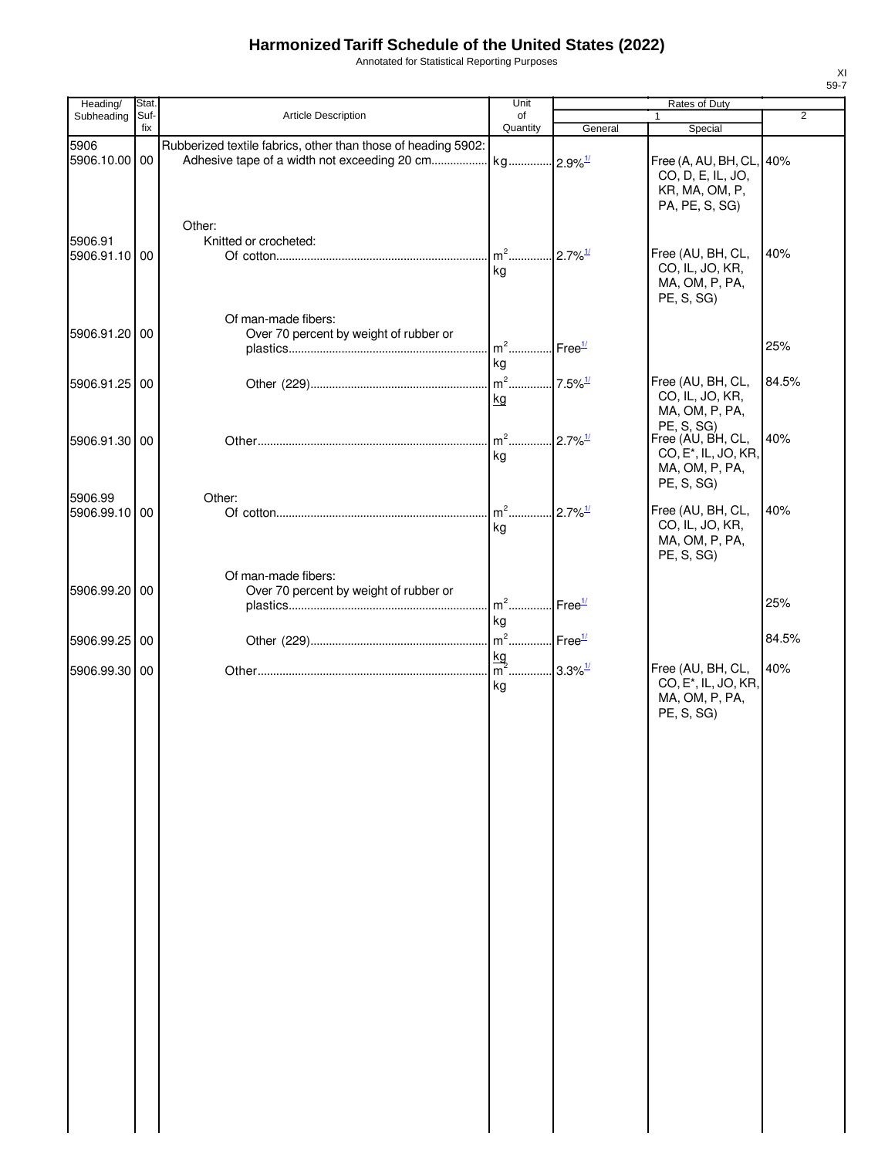Annotated for Statistical Reporting Purposes

| Heading/                 | Stat.       |                                                                                                                                     | Unit                                 |                               | Rates of Duty                                                                     |                |
|--------------------------|-------------|-------------------------------------------------------------------------------------------------------------------------------------|--------------------------------------|-------------------------------|-----------------------------------------------------------------------------------|----------------|
| Subheading               | Suf-<br>fix | Article Description                                                                                                                 | of<br>Quantity                       |                               |                                                                                   | $\overline{2}$ |
|                          |             |                                                                                                                                     |                                      | General                       | Special                                                                           |                |
| 5906<br>5906.10.00 00    |             | Rubberized textile fabrics, other than those of heading 5902:<br>Adhesive tape of a width not exceeding 20 cm kg 2.9% <sup>1/</sup> |                                      |                               | Free (A, AU, BH, CL, 40%<br>CO, D, E, IL, JO,<br>KR, MA, OM, P,<br>PA, PE, S, SG) |                |
|                          |             | Other:                                                                                                                              |                                      |                               |                                                                                   |                |
| 5906.91<br>5906.91.10 00 |             | Knitted or crocheted:                                                                                                               | kg                                   | $2.7\%$ <sup>1/</sup>         | Free (AU, BH, CL,<br>CO, IL, JO, KR,<br>MA, OM, P, PA,<br>PE, S, SG)              | 40%            |
| 5906.91.20 00            |             | Of man-made fibers:<br>Over 70 percent by weight of rubber or                                                                       | $m2$                                 | $\mathsf{Free}^{\frac{1}{2}}$ |                                                                                   | 25%            |
|                          |             |                                                                                                                                     | kg                                   |                               |                                                                                   |                |
| 5906.91.25 00            |             |                                                                                                                                     | $m2$<br>kg                           | $.7.5\%$ <sup>1/</sup>        | Free (AU, BH, CL,<br>CO, IL, JO, KR,<br>MA, OM, P, PA,                            | 84.5%          |
|                          |             |                                                                                                                                     | $\mathsf{m}^2$                       |                               | PE, S, SG)<br>Free (AU, BH, CL,                                                   | 40%            |
| 5906.91.30 00            |             |                                                                                                                                     | kg                                   | $2.7\%$ <sup>1/</sup>         | CO, E <sup>*</sup> , IL, JO, KR,<br>MA, OM, P, PA,<br>PE, S, SG)                  |                |
| 5906.99                  |             | Other:                                                                                                                              | $m2$ .                               |                               | Free (AU, BH, CL,                                                                 | 40%            |
| 5906.99.10 00            |             |                                                                                                                                     | kg                                   | $2.7\%$ <sup>1/</sup>         | CO, IL, JO, KR,<br>MA, OM, P, PA,<br>PE, S, SG)                                   |                |
|                          |             | Of man-made fibers:                                                                                                                 |                                      |                               |                                                                                   |                |
| 5906.99.20 00            |             | Over 70 percent by weight of rubber or                                                                                              | $m^2$<br>kg                          | Free <sup>1/</sup>            |                                                                                   | 25%            |
| 5906.99.25 00            |             |                                                                                                                                     | $m^2$ Free <sup>1/</sup>             |                               |                                                                                   | 84.5%          |
|                          |             |                                                                                                                                     |                                      |                               |                                                                                   |                |
| 5906.99.30 00            |             |                                                                                                                                     | $\frac{\text{kg}}{\text{m}^2}$<br>kg | $3.3\%$ <sup>1/</sup>         | Free (AU, BH, CL,<br>CO, E <sup>*</sup> , IL, JO, KR,<br>MA, OM, P, PA,           | 40%            |
|                          |             |                                                                                                                                     |                                      |                               | PE, S, SG)                                                                        |                |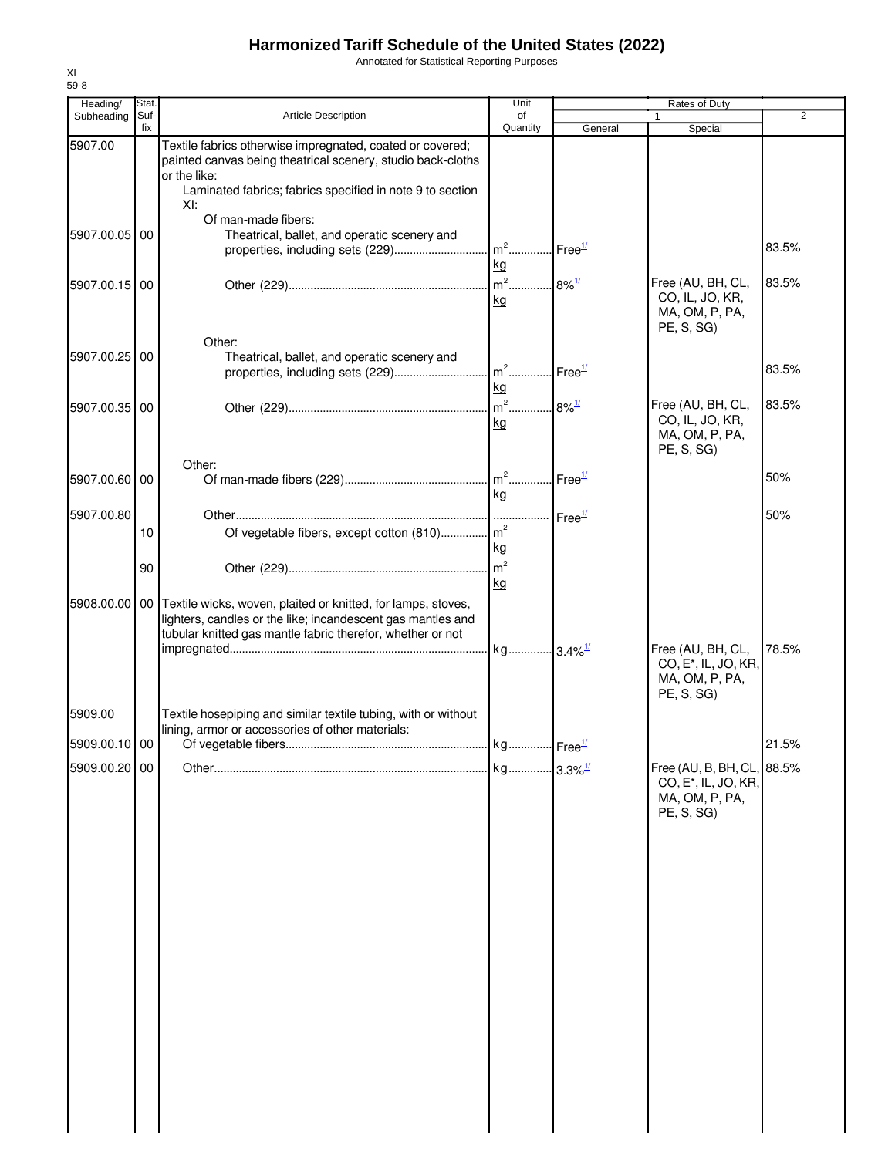Annotated for Statistical Reporting Purposes

| Heading/      | Stat.       |                                                                                                                                                                                                              | Unit      |         | Rates of Duty                                                                                  |                |
|---------------|-------------|--------------------------------------------------------------------------------------------------------------------------------------------------------------------------------------------------------------|-----------|---------|------------------------------------------------------------------------------------------------|----------------|
| Subheading    | Suf-<br>fix | Article Description                                                                                                                                                                                          | of        |         | $\mathbf{1}$                                                                                   | $\overline{2}$ |
| 5907.00       |             | Textile fabrics otherwise impregnated, coated or covered;<br>painted canvas being theatrical scenery, studio back-cloths<br>or the like:<br>Laminated fabrics; fabrics specified in note 9 to section<br>XI: | Quantity  | General | Special                                                                                        |                |
| 5907.00.05 00 |             | Of man-made fibers:<br>Theatrical, ballet, and operatic scenery and                                                                                                                                          | kg        |         |                                                                                                | 83.5%          |
| 5907.00.15 00 |             |                                                                                                                                                                                                              | kg        |         | Free (AU, BH, CL,<br>CO, IL, JO, KR,<br>MA, OM, P, PA,<br>PE, S, SG)                           | 83.5%          |
| 5907.00.25 00 |             | Other:<br>Theatrical, ballet, and operatic scenery and                                                                                                                                                       |           |         |                                                                                                | 83.5%          |
| 5907.00.35 00 |             |                                                                                                                                                                                                              | kg<br>kg  |         | Free (AU, BH, CL,<br>CO, IL, JO, KR,<br>MA, OM, P, PA,<br>PE, S, SG)                           | 83.5%          |
| 5907.00.60 00 |             | Other:                                                                                                                                                                                                       | kg        |         |                                                                                                | 50%            |
| 5907.00.80    | 10          | Of vegetable fibers, except cotton (810) m <sup>2</sup>                                                                                                                                                      | kg        |         |                                                                                                | 50%            |
|               | 90          |                                                                                                                                                                                                              | <u>kg</u> |         |                                                                                                |                |
|               |             | 5908.00.00   00   Textile wicks, woven, plaited or knitted, for lamps, stoves,<br>lighters, candles or the like; incandescent gas mantles and<br>tubular knitted gas mantle fabric therefor, whether or not  |           |         | Free (AU, BH, CL,<br>CO, E <sup>*</sup> , IL, JO, KR,<br>MA, OM, P, PA,                        | 78.5%          |
| 5909.00       |             | Textile hosepiping and similar textile tubing, with or without<br>lining, armor or accessories of other materials:                                                                                           |           |         | PE, S, SG)                                                                                     |                |
| 5909.00.10 00 |             |                                                                                                                                                                                                              |           |         |                                                                                                | 21.5%          |
| 5909.00.20 00 |             |                                                                                                                                                                                                              |           |         | Free (AU, B, BH, CL, 88.5%<br>CO, E <sup>*</sup> , IL, JO, KR,<br>MA, OM, P, PA,<br>PE, S, SG) |                |
|               |             |                                                                                                                                                                                                              |           |         |                                                                                                |                |
|               |             |                                                                                                                                                                                                              |           |         |                                                                                                |                |
|               |             |                                                                                                                                                                                                              |           |         |                                                                                                |                |
|               |             |                                                                                                                                                                                                              |           |         |                                                                                                |                |
|               |             |                                                                                                                                                                                                              |           |         |                                                                                                |                |
|               |             |                                                                                                                                                                                                              |           |         |                                                                                                |                |
|               |             |                                                                                                                                                                                                              |           |         |                                                                                                |                |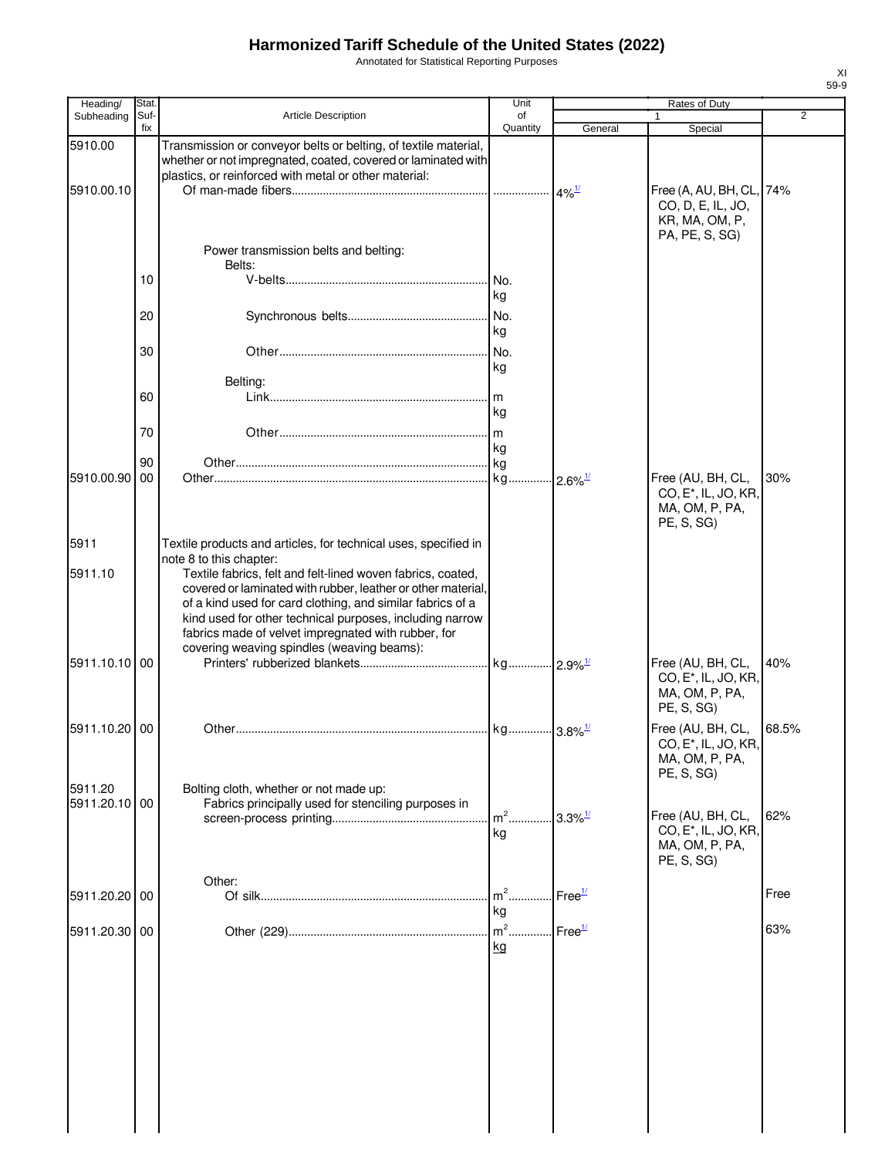Annotated for Statistical Reporting Purposes

| Heading/                 | Stat.       |                                                                                                                                                                                                                                                                                                                                                            | Unit                    |                               | Rates of Duty                                                                         |                |
|--------------------------|-------------|------------------------------------------------------------------------------------------------------------------------------------------------------------------------------------------------------------------------------------------------------------------------------------------------------------------------------------------------------------|-------------------------|-------------------------------|---------------------------------------------------------------------------------------|----------------|
| Subheading               | Suf-<br>fix | <b>Article Description</b>                                                                                                                                                                                                                                                                                                                                 | of<br>Quantity          |                               |                                                                                       | $\overline{2}$ |
| 5910.00                  |             | Transmission or conveyor belts or belting, of textile material,<br>whether or not impregnated, coated, covered or laminated with                                                                                                                                                                                                                           |                         | General                       | Special                                                                               |                |
| 5910.00.10               |             | plastics, or reinforced with metal or other material:                                                                                                                                                                                                                                                                                                      |                         |                               | Free (A, AU, BH, CL, 74%<br>CO, D, E, IL, JO,                                         |                |
|                          |             | Power transmission belts and belting:                                                                                                                                                                                                                                                                                                                      |                         |                               | KR, MA, OM, P,<br>PA, PE, S, SG)                                                      |                |
|                          |             | Belts:                                                                                                                                                                                                                                                                                                                                                     |                         |                               |                                                                                       |                |
|                          | 10          |                                                                                                                                                                                                                                                                                                                                                            | .lNo.<br>kg             |                               |                                                                                       |                |
|                          | 20          |                                                                                                                                                                                                                                                                                                                                                            | No.<br>kg               |                               |                                                                                       |                |
|                          | 30          |                                                                                                                                                                                                                                                                                                                                                            | No.<br>kg               |                               |                                                                                       |                |
|                          | 60          | Belting:                                                                                                                                                                                                                                                                                                                                                   | .lm                     |                               |                                                                                       |                |
|                          |             |                                                                                                                                                                                                                                                                                                                                                            | kg                      |                               |                                                                                       |                |
|                          | 70          |                                                                                                                                                                                                                                                                                                                                                            | kg                      |                               |                                                                                       |                |
|                          | 90          |                                                                                                                                                                                                                                                                                                                                                            | . kg                    |                               |                                                                                       |                |
| 5910.00.90               | 00          |                                                                                                                                                                                                                                                                                                                                                            | kg                      | $\cdot$ 2.6% $^{\frac{1}{2}}$ | Free (AU, BH, CL,<br>CO, E <sup>*</sup> , IL, JO, KR,<br>MA, OM, P, PA,<br>PE, S, SG  | 30%            |
| 5911                     |             | Textile products and articles, for technical uses, specified in<br>note 8 to this chapter:                                                                                                                                                                                                                                                                 |                         |                               |                                                                                       |                |
| 5911.10                  |             | Textile fabrics, felt and felt-lined woven fabrics, coated,<br>covered or laminated with rubber, leather or other material,<br>of a kind used for card clothing, and similar fabrics of a<br>kind used for other technical purposes, including narrow<br>fabrics made of velvet impregnated with rubber, for<br>covering weaving spindles (weaving beams): |                         |                               |                                                                                       |                |
| 5911.10.10 00            |             |                                                                                                                                                                                                                                                                                                                                                            | . kg 2.9% <sup>1/</sup> |                               | Free (AU, BH, CL,<br>CO, E <sup>*</sup> , IL, JO, KR,<br>MA, OM, P, PA,<br>PE, S, SG) | 40%            |
| 5911.10.20 00            |             |                                                                                                                                                                                                                                                                                                                                                            |                         |                               | Free (AU, BH, CL,<br>CO, E <sup>*</sup> , IL, JO, KR,<br>MA, OM, P, PA,<br>PE, S, SG) | 68.5%          |
| 5911.20<br>5911.20.10 00 |             | Bolting cloth, whether or not made up:<br>Fabrics principally used for stenciling purposes in                                                                                                                                                                                                                                                              |                         |                               |                                                                                       |                |
|                          |             |                                                                                                                                                                                                                                                                                                                                                            | $\mathsf{m}^2$<br>kg    | $.3.3\%$ <sup>1/</sup>        | Free (AU, BH, CL,<br>CO, E <sup>*</sup> , IL, JO, KR,<br>MA, OM, P, PA,<br>PE, S, SG) | 62%            |
| 5911.20.20 00            |             | Other:                                                                                                                                                                                                                                                                                                                                                     | $m2$ .<br>kg            | Free <sup>1/</sup>            |                                                                                       | Free           |
| 5911.20.30 00            |             |                                                                                                                                                                                                                                                                                                                                                            | $m2$<br>kg              | Free <sup>1/</sup>            |                                                                                       | 63%            |
|                          |             |                                                                                                                                                                                                                                                                                                                                                            |                         |                               |                                                                                       |                |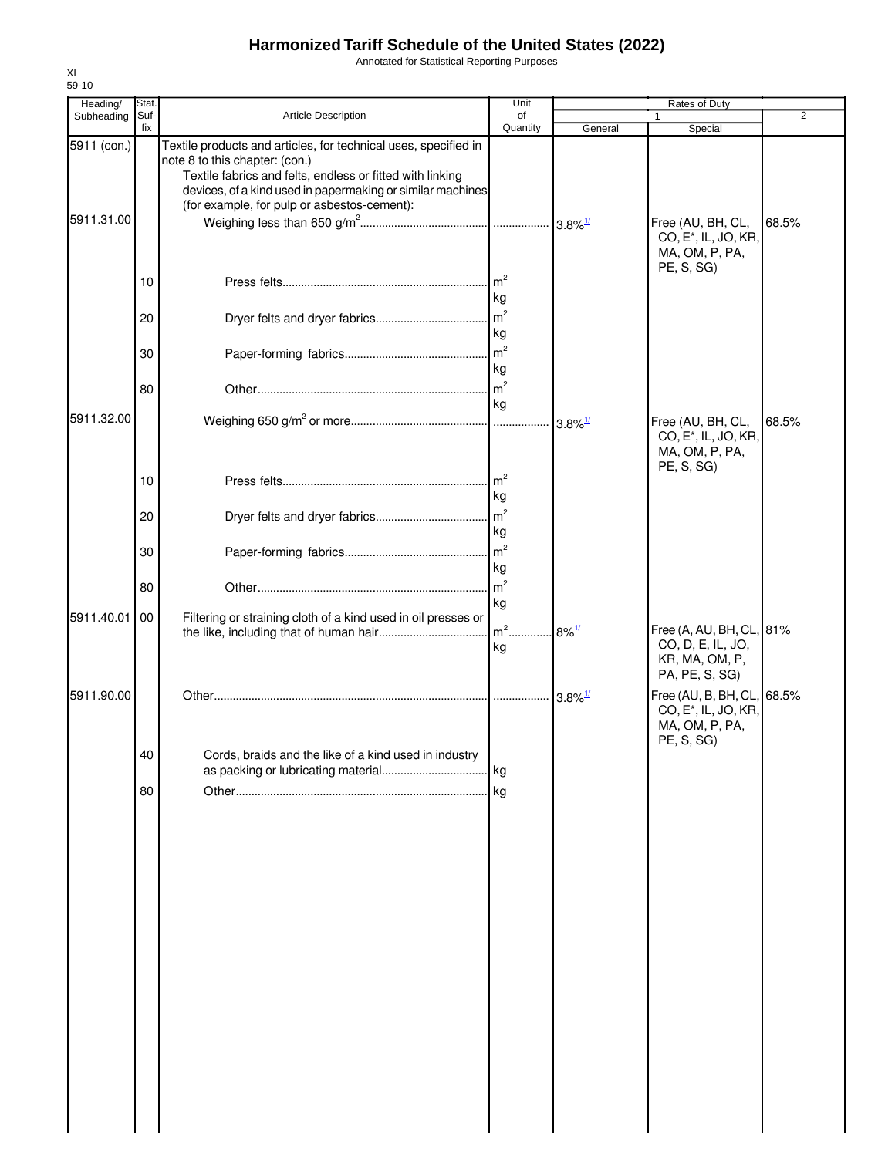Annotated for Statistical Reporting Purposes

| Heading/                  | Stat.                |                                                                                                                                                                                                                                                                             | Unit                                                                     |                       | Rates of Duty                                                                                  |       |
|---------------------------|----------------------|-----------------------------------------------------------------------------------------------------------------------------------------------------------------------------------------------------------------------------------------------------------------------------|--------------------------------------------------------------------------|-----------------------|------------------------------------------------------------------------------------------------|-------|
| Subheading                | Suf-<br>fix          | Article Description                                                                                                                                                                                                                                                         | of<br>Quantity                                                           | General               | 1<br>Special                                                                                   | 2     |
| 5911 (con.)<br>5911.31.00 |                      | Textile products and articles, for technical uses, specified in<br>note 8 to this chapter: (con.)<br>Textile fabrics and felts, endless or fitted with linking<br>devices, of a kind used in papermaking or similar machines<br>(for example, for pulp or asbestos-cement): |                                                                          |                       | Free (AU, BH, CL,<br>CO, E <sup>*</sup> , IL, JO, KR,<br>MA, OM, P, PA,<br>PE, S, SG           | 68.5% |
|                           | 10<br>20<br>30<br>80 |                                                                                                                                                                                                                                                                             | kg<br>$\mathsf{Im}^2$<br>kg<br>$\mathsf{Im}^2$<br>kg<br>$\rm{m}^2$<br>kg |                       |                                                                                                |       |
| 5911.32.00                |                      |                                                                                                                                                                                                                                                                             |                                                                          | $3.8\%$ <sup>1/</sup> | Free (AU, BH, CL,<br>CO, E <sup>*</sup> , IL, JO, KR,<br>MA, OM, P, PA,<br>PE, S, SG)          | 68.5% |
|                           | 10<br>20             |                                                                                                                                                                                                                                                                             | $\mathsf{m}^2$<br>kg<br>m <sup>2</sup><br>kg                             |                       |                                                                                                |       |
|                           | 30                   |                                                                                                                                                                                                                                                                             | $\rm{m}^2$<br>kg                                                         |                       |                                                                                                |       |
| 5911.40.01                | 80<br>00             | Filtering or straining cloth of a kind used in oil presses or                                                                                                                                                                                                               | m <sup>2</sup><br>kg                                                     |                       |                                                                                                |       |
|                           |                      |                                                                                                                                                                                                                                                                             | kg                                                                       | $.8\%$ <sup>1/</sup>  | Free (A, AU, BH, CL, 81%<br>CO, D, E, IL, JO,<br>KR, MA, OM, P,<br>PA, PE, S, SG)              |       |
| 5911.90.00                |                      |                                                                                                                                                                                                                                                                             |                                                                          | $3.8\%$ <sup>1/</sup> | Free (AU, B, BH, CL, 68.5%<br>CO, E <sup>*</sup> , IL, JO, KR,<br>MA, OM, P, PA,<br>PE, S, SG) |       |
|                           | 40                   | Cords, braids and the like of a kind used in industry                                                                                                                                                                                                                       |                                                                          |                       |                                                                                                |       |
|                           | 80                   |                                                                                                                                                                                                                                                                             |                                                                          |                       |                                                                                                |       |